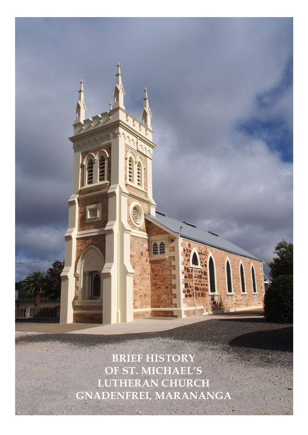**BRIEF HISTORY OF ST. MICHAEL'S LUTHERAN CHURCH GNADENFREI, MARANANGA**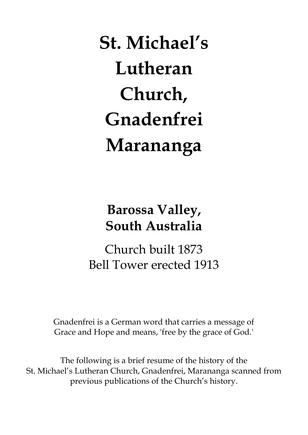**St. Michael's Lutheran Church, Gnadenfrei Marananga**

# **Barossa Valley, South Australia**

Church built 1873 Bell Tower erected 1913

Gnadenfrei is a German word that carries a message of Grace and Hope and means, 'free by the grace of God.'

The following is a brief resume of the history of the St. Michael's Lutheran Church, Gnadenfrei, Marananga scanned from previous publications of the Church's history.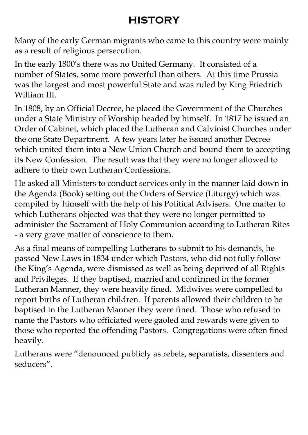# **HISTORY**

Many of the early German migrants who came to this country were mainly as a result of religious persecution.

In the early 1800's there was no United Germany. It consisted of a number of States, some more powerful than others. At this time Prussia was the largest and most powerful State and was ruled by King Friedrich William III.

In 1808, by an Official Decree, he placed the Government of the Churches under a State Ministry of Worship headed by himself. In 1817 he issued an Order of Cabinet, which placed the Lutheran and Calvinist Churches under the one State Department. A few years later he issued another Decree which united them into a New Union Church and bound them to accepting its New Confession. The result was that they were no longer allowed to adhere to their own Lutheran Confessions.

He asked all Ministers to conduct services only in the manner laid down in the Agenda (Book) setting out the Orders of Service (Liturgy) which was compiled by himself with the help of his Political Advisers. One matter to which Lutherans objected was that they were no longer permitted to administer the Sacrament of Holy Communion according to Lutheran Rites - a very grave matter of conscience to them.

As a final means of compelling Lutherans to submit to his demands, he passed New Laws in 1834 under which Pastors, who did not fully follow the King's Agenda, were dismissed as well as being deprived of all Rights and Privileges. If they baptised, married and confirmed in the former Lutheran Manner, they were heavily fined. Midwives were compelled to report births of Lutheran children. If parents allowed their children to be baptised in the Lutheran Manner they were fined. Those who refused to name the Pastors who officiated were gaoled and rewards were given to those who reported the offending Pastors. Congregations were often fined heavily.

Lutherans were "denounced publicly as rebels, separatists, dissenters and seducers".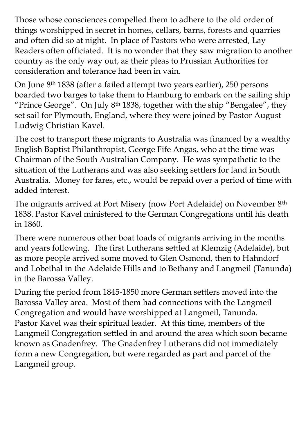Those whose consciences compelled them to adhere to the old order of things worshipped in secret in homes, cellars, barns, forests and quarries and often did so at night. In place of Pastors who were arrested, Lay Readers often officiated. It is no wonder that they saw migration to another country as the only way out, as their pleas to Prussian Authorities for consideration and tolerance had been in vain.

On June 8th 1838 (after a failed attempt two years earlier), 250 persons boarded two barges to take them to Hamburg to embark on the sailing ship "Prince George". On July  $8<sup>th</sup> 1838$ , together with the ship "Bengalee", they set sail for Plymouth, England, where they were joined by Pastor August Ludwig Christian Kavel.

The cost to transport these migrants to Australia was financed by a wealthy English Baptist Philanthropist, George Fife Angas, who at the time was Chairman of the South Australian Company. He was sympathetic to the situation of the Lutherans and was also seeking settlers for land in South Australia. Money for fares, etc., would be repaid over a period of time with added interest.

The migrants arrived at Port Misery (now Port Adelaide) on November 8th 1838. Pastor Kavel ministered to the German Congregations until his death in 1860.

There were numerous other boat loads of migrants arriving in the months and years following. The first Lutherans settled at Klemzig (Adelaide), but as more people arrived some moved to Glen Osmond, then to Hahndorf and Lobethal in the Adelaide Hills and to Bethany and Langmeil (Tanunda) in the Barossa Valley.

During the period from 1845-1850 more German settlers moved into the Barossa Valley area. Most of them had connections with the Langmeil Congregation and would have worshipped at Langmeil, Tanunda. Pastor Kavel was their spiritual leader. At this time, members of the Langmeil Congregation settled in and around the area which soon became known as Gnadenfrey. The Gnadenfrey Lutherans did not immediately form a new Congregation, but were regarded as part and parcel of the Langmeil group.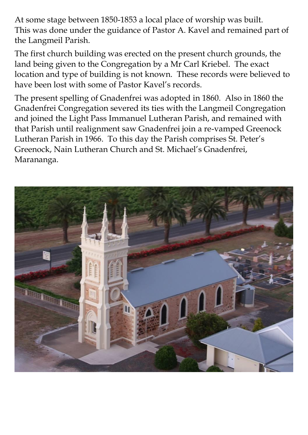At some stage between 1850-1853 a local place of worship was built. This was done under the guidance of Pastor A. Kavel and remained part of the Langmeil Parish.

The first church building was erected on the present church grounds, the land being given to the Congregation by a Mr Carl Kriebel. The exact location and type of building is not known. These records were believed to have been lost with some of Pastor Kavel's records.

The present spelling of Gnadenfrei was adopted in 1860. Also in 1860 the Gnadenfrei Congregation severed its ties with the Langmeil Congregation and joined the Light Pass Immanuel Lutheran Parish, and remained with that Parish until realignment saw Gnadenfrei join a re-vamped Greenock Lutheran Parish in 1966. To this day the Parish comprises St. Peter's Greenock, Nain Lutheran Church and St. Michael's Gnadenfrei, Marananga.

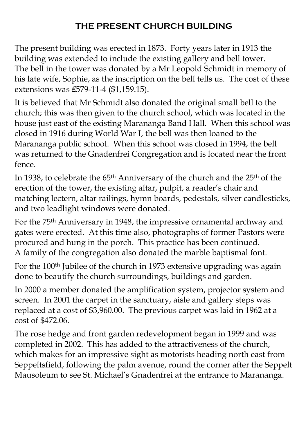#### **THE PRESENT CHURCH BUILDING**

The present building was erected in 1873. Forty years later in 1913 the building was extended to include the existing gallery and bell tower. The bell in the tower was donated by a Mr Leopold Schmidt in memory of his late wife, Sophie, as the inscription on the bell tells us. The cost of these extensions was ₤579-11-4 (\$1,159.15).

It is believed that Mr Schmidt also donated the original small bell to the church; this was then given to the church school, which was located in the house just east of the existing Marananga Band Hall. When this school was closed in 1916 during World War I, the bell was then loaned to the Marananga public school. When this school was closed in 1994, the bell was returned to the Gnadenfrei Congregation and is located near the front fence.

In 1938, to celebrate the 65<sup>th</sup> Anniversary of the church and the 25<sup>th</sup> of the erection of the tower, the existing altar, pulpit, a reader's chair and matching lectern, altar railings, hymn boards, pedestals, silver candlesticks, and two leadlight windows were donated.

For the 75th Anniversary in 1948, the impressive ornamental archway and gates were erected. At this time also, photographs of former Pastors were procured and hung in the porch. This practice has been continued. A family of the congregation also donated the marble baptismal font.

For the 100<sup>th</sup> Jubilee of the church in 1973 extensive upgrading was again done to beautify the church surroundings, buildings and garden.

In 2000 a member donated the amplification system, projector system and screen. In 2001 the carpet in the sanctuary, aisle and gallery steps was replaced at a cost of \$3,960.00. The previous carpet was laid in 1962 at a cost of \$472.06.

The rose hedge and front garden redevelopment began in 1999 and was completed in 2002. This has added to the attractiveness of the church, which makes for an impressive sight as motorists heading north east from Seppeltsfield, following the palm avenue, round the corner after the Seppelt Mausoleum to see St. Michael's Gnadenfrei at the entrance to Marananga.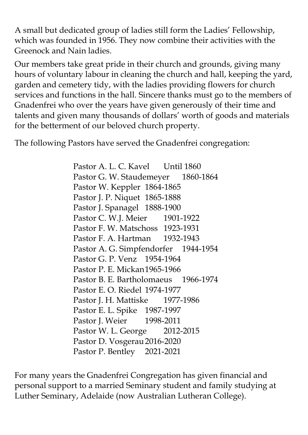A small but dedicated group of ladies still form the Ladies' Fellowship, which was founded in 1956. They now combine their activities with the Greenock and Nain ladies.

Our members take great pride in their church and grounds, giving many hours of voluntary labour in cleaning the church and hall, keeping the yard, garden and cemetery tidy, with the ladies providing flowers for church services and functions in the hall. Sincere thanks must go to the members of Gnadenfrei who over the years have given generously of their time and talents and given many thousands of dollars' worth of goods and materials for the betterment of our beloved church property.

The following Pastors have served the Gnadenfrei congregation:

Pastor A. L. C. Kavel Until 1860 Pastor G. W. Staudemeyer 1860-1864 Pastor W. Keppler 1864-1865 Pastor J. P. Niquet 1865-1888 Pastor J. Spanagel 1888-1900 Pastor C. W.J. Meier 1901-1922 Pastor F. W. Matschoss 1923-1931 Pastor F. A. Hartman 1932-1943 Pastor A. G. Simpfendorfer 1944-1954 Pastor G. P. Venz 1954-1964 Pastor P. E. Mickan1965-1966 Pastor B. E. Bartholomaeus 1966-1974 Pastor E. O. Riedel 1974-1977 Pastor J. H. Mattiske 1977-1986 Pastor E. L. Spike 1987-1997 Pastor J. Weier 1998-2011 Pastor W. L. George 2012-2015 Pastor D. Vosgerau 2016-2020 Pastor P. Bentley 2021-2021

For many years the Gnadenfrei Congregation has given financial and personal support to a married Seminary student and family studying at Luther Seminary, Adelaide (now Australian Lutheran College).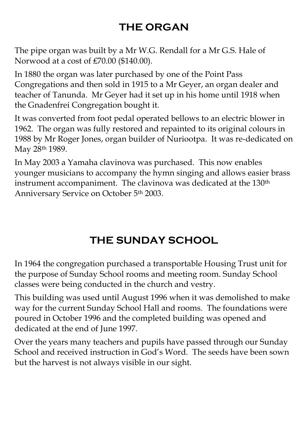### **THE ORGAN**

The pipe organ was built by a Mr W.G. Rendall for a Mr G.S. Hale of Norwood at a cost of £70.00 (\$140.00).

In 1880 the organ was later purchased by one of the Point Pass Congregations and then sold in 1915 to a Mr Geyer, an organ dealer and teacher of Tanunda. Mr Geyer had it set up in his home until 1918 when the Gnadenfrei Congregation bought it.

It was converted from foot pedal operated bellows to an electric blower in 1962. The organ was fully restored and repainted to its original colours in 1988 by Mr Roger Jones, organ builder of Nuriootpa. It was re-dedicated on May 28th 1989.

In May 2003 a Yamaha clavinova was purchased. This now enables younger musicians to accompany the hymn singing and allows easier brass instrument accompaniment. The clavinova was dedicated at the 130<sup>th</sup> Anniversary Service on October 5th 2003.

## **THE SUNDAY SCHOOL**

In 1964 the congregation purchased a transportable Housing Trust unit for the purpose of Sunday School rooms and meeting room. Sunday School classes were being conducted in the church and vestry.

This building was used until August 1996 when it was demolished to make way for the current Sunday School Hall and rooms. The foundations were poured in October 1996 and the completed building was opened and dedicated at the end of June 1997.

Over the years many teachers and pupils have passed through our Sunday School and received instruction in God's Word. The seeds have been sown but the harvest is not always visible in our sight.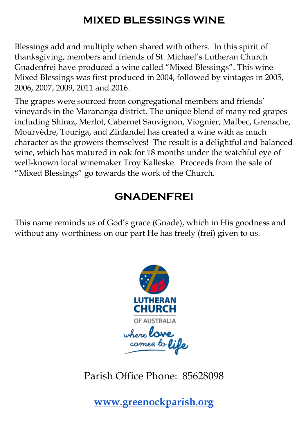#### **MIXED BLESSINGS WINE**

Blessings add and multiply when shared with others. In this spirit of thanksgiving, members and friends of St. Michael's Lutheran Church Gnadenfrei have produced a wine called "Mixed Blessings". This wine Mixed Blessings was first produced in 2004, followed by vintages in 2005, 2006, 2007, 2009, 2011 and 2016.

The grapes were sourced from congregational members and friends' vineyards in the Marananga district. The unique blend of many red grapes including Shiraz, Merlot, Cabernet Sauvignon, Viognier, Malbec, Grenache, Mourvèdre, Touriga, and Zinfandel has created a wine with as much character as the growers themselves! The result is a delightful and balanced wine, which has matured in oak for 18 months under the watchful eye of well-known local winemaker Troy Kalleske. Proceeds from the sale of "Mixed Blessings" go towards the work of the Church.

#### **GNADENFREI**

This name reminds us of God's grace (Gnade), which in His goodness and without any worthiness on our part He has freely (frei) given to us.



Parish Office Phone: 85628098

**[www.greenockparish.org](http://www.greenockparish.org/)**